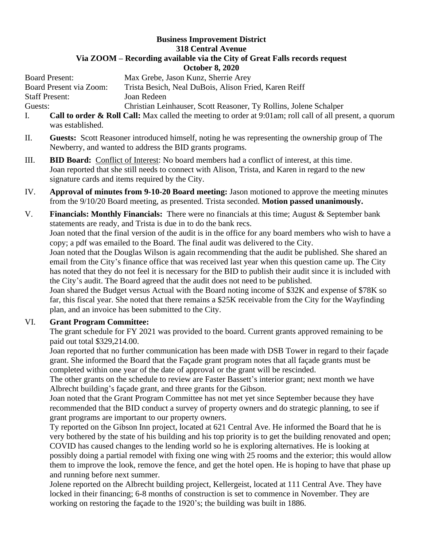## **Business Improvement District 318 Central Avenue Via ZOOM – Recording available via the City of Great Falls records request October 8, 2020**

Board Present: Max Grebe, Jason Kunz, Sherrie Arey Board Present via Zoom: Trista Besich, Neal DuBois, Alison Fried, Karen Reiff Staff Present: Joan Redeen Guests: Christian Leinhauser, Scott Reasoner, Ty Rollins, Jolene Schalper

- I. **Call to order & Roll Call:** Max called the meeting to order at 9:01am; roll call of all present, a quorum was established.
- II. **Guests:** Scott Reasoner introduced himself, noting he was representing the ownership group of The Newberry, and wanted to address the BID grants programs.
- III. **BID Board:** Conflict of Interest: No board members had a conflict of interest, at this time. Joan reported that she still needs to connect with Alison, Trista, and Karen in regard to the new signature cards and items required by the City.
- IV. **Approval of minutes from 9-10-20 Board meeting:** Jason motioned to approve the meeting minutes from the 9/10/20 Board meeting, as presented. Trista seconded. **Motion passed unanimously.**

## V. **Financials: Monthly Financials:** There were no financials at this time; August & September bank statements are ready, and Trista is due in to do the bank recs.

Joan noted that the final version of the audit is in the office for any board members who wish to have a copy; a pdf was emailed to the Board. The final audit was delivered to the City.

Joan noted that the Douglas Wilson is again recommending that the audit be published. She shared an email from the City's finance office that was received last year when this question came up. The City has noted that they do not feel it is necessary for the BID to publish their audit since it is included with the City's audit. The Board agreed that the audit does not need to be published.

Joan shared the Budget versus Actual with the Board noting income of \$32K and expense of \$78K so far, this fiscal year. She noted that there remains a \$25K receivable from the City for the Wayfinding plan, and an invoice has been submitted to the City.

## VI. **Grant Program Committee:**

The grant schedule for FY 2021 was provided to the board. Current grants approved remaining to be paid out total \$329,214.00.

Joan reported that no further communication has been made with DSB Tower in regard to their façade grant. She informed the Board that the Façade grant program notes that all façade grants must be completed within one year of the date of approval or the grant will be rescinded.

The other grants on the schedule to review are Faster Bassett's interior grant; next month we have Albrecht building's façade grant, and three grants for the Gibson.

Joan noted that the Grant Program Committee has not met yet since September because they have recommended that the BID conduct a survey of property owners and do strategic planning, to see if grant programs are important to our property owners.

Ty reported on the Gibson Inn project, located at 621 Central Ave. He informed the Board that he is very bothered by the state of his building and his top priority is to get the building renovated and open; COVID has caused changes to the lending world so he is exploring alternatives. He is looking at possibly doing a partial remodel with fixing one wing with 25 rooms and the exterior; this would allow

them to improve the look, remove the fence, and get the hotel open. He is hoping to have that phase up and running before next summer.

Jolene reported on the Albrecht building project, Kellergeist, located at 111 Central Ave. They have locked in their financing; 6-8 months of construction is set to commence in November. They are working on restoring the façade to the 1920's; the building was built in 1886.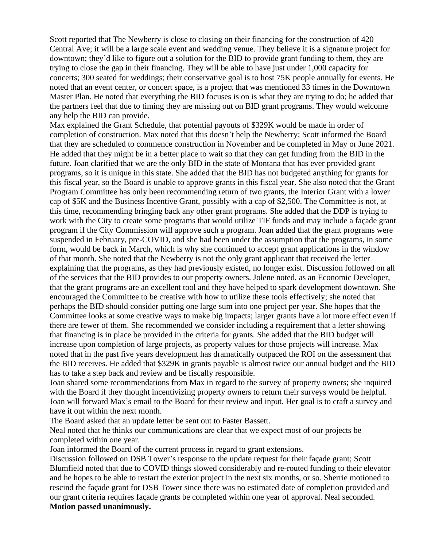Scott reported that The Newberry is close to closing on their financing for the construction of 420 Central Ave; it will be a large scale event and wedding venue. They believe it is a signature project for downtown; they'd like to figure out a solution for the BID to provide grant funding to them, they are trying to close the gap in their financing. They will be able to have just under 1,000 capacity for concerts; 300 seated for weddings; their conservative goal is to host 75K people annually for events. He noted that an event center, or concert space, is a project that was mentioned 33 times in the Downtown Master Plan. He noted that everything the BID focuses is on is what they are trying to do; he added that the partners feel that due to timing they are missing out on BID grant programs. They would welcome any help the BID can provide.

Max explained the Grant Schedule, that potential payouts of \$329K would be made in order of completion of construction. Max noted that this doesn't help the Newberry; Scott informed the Board that they are scheduled to commence construction in November and be completed in May or June 2021. He added that they might be in a better place to wait so that they can get funding from the BID in the future. Joan clarified that we are the only BID in the state of Montana that has ever provided grant programs, so it is unique in this state. She added that the BID has not budgeted anything for grants for this fiscal year, so the Board is unable to approve grants in this fiscal year. She also noted that the Grant Program Committee has only been recommending return of two grants, the Interior Grant with a lower cap of \$5K and the Business Incentive Grant, possibly with a cap of \$2,500. The Committee is not, at this time, recommending bringing back any other grant programs. She added that the DDP is trying to work with the City to create some programs that would utilize TIF funds and may include a façade grant program if the City Commission will approve such a program. Joan added that the grant programs were suspended in February, pre-COVID, and she had been under the assumption that the programs, in some form, would be back in March, which is why she continued to accept grant applications in the window of that month. She noted that the Newberry is not the only grant applicant that received the letter explaining that the programs, as they had previously existed, no longer exist. Discussion followed on all of the services that the BID provides to our property owners. Jolene noted, as an Economic Developer, that the grant programs are an excellent tool and they have helped to spark development downtown. She encouraged the Committee to be creative with how to utilize these tools effectively; she noted that perhaps the BID should consider putting one large sum into one project per year. She hopes that the Committee looks at some creative ways to make big impacts; larger grants have a lot more effect even if there are fewer of them. She recommended we consider including a requirement that a letter showing that financing is in place be provided in the criteria for grants. She added that the BID budget will increase upon completion of large projects, as property values for those projects will increase. Max noted that in the past five years development has dramatically outpaced the ROI on the assessment that the BID receives. He added that \$329K in grants payable is almost twice our annual budget and the BID has to take a step back and review and be fiscally responsible.

Joan shared some recommendations from Max in regard to the survey of property owners; she inquired with the Board if they thought incentivizing property owners to return their surveys would be helpful. Joan will forward Max's email to the Board for their review and input. Her goal is to craft a survey and have it out within the next month.

The Board asked that an update letter be sent out to Faster Bassett.

Neal noted that he thinks our communications are clear that we expect most of our projects be completed within one year.

Joan informed the Board of the current process in regard to grant extensions.

Discussion followed on DSB Tower's response to the update request for their façade grant; Scott Blumfield noted that due to COVID things slowed considerably and re-routed funding to their elevator and he hopes to be able to restart the exterior project in the next six months, or so. Sherrie motioned to rescind the façade grant for DSB Tower since there was no estimated date of completion provided and our grant criteria requires façade grants be completed within one year of approval. Neal seconded. **Motion passed unanimously.**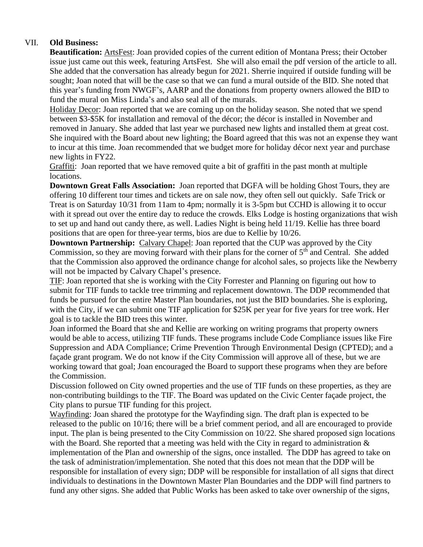## VII. **Old Business:**

**Beautification:** ArtsFest: Joan provided copies of the current edition of Montana Press; their October issue just came out this week, featuring ArtsFest. She will also email the pdf version of the article to all. She added that the conversation has already begun for 2021. Sherrie inquired if outside funding will be sought; Joan noted that will be the case so that we can fund a mural outside of the BID. She noted that this year's funding from NWGF's, AARP and the donations from property owners allowed the BID to fund the mural on Miss Linda's and also seal all of the murals.

Holiday Decor: Joan reported that we are coming up on the holiday season. She noted that we spend between \$3-\$5K for installation and removal of the décor; the décor is installed in November and removed in January. She added that last year we purchased new lights and installed them at great cost. She inquired with the Board about new lighting; the Board agreed that this was not an expense they want to incur at this time. Joan recommended that we budget more for holiday décor next year and purchase new lights in FY22.

Graffiti: Joan reported that we have removed quite a bit of graffiti in the past month at multiple locations.

**Downtown Great Falls Association:** Joan reported that DGFA will be holding Ghost Tours, they are offering 10 different tour times and tickets are on sale now, they often sell out quickly. Safe Trick or Treat is on Saturday 10/31 from 11am to 4pm; normally it is 3-5pm but CCHD is allowing it to occur with it spread out over the entire day to reduce the crowds. Elks Lodge is hosting organizations that wish to set up and hand out candy there, as well. Ladies Night is being held 11/19. Kellie has three board positions that are open for three-year terms, bios are due to Kellie by 10/26.

**Downtown Partnership:** Calvary Chapel: Joan reported that the CUP was approved by the City Commission, so they are moving forward with their plans for the corner of  $5<sup>th</sup>$  and Central. She added that the Commission also approved the ordinance change for alcohol sales, so projects like the Newberry will not be impacted by Calvary Chapel's presence.

TIF: Joan reported that she is working with the City Forrester and Planning on figuring out how to submit for TIF funds to tackle tree trimming and replacement downtown. The DDP recommended that funds be pursued for the entire Master Plan boundaries, not just the BID boundaries. She is exploring, with the City, if we can submit one TIF application for \$25K per year for five years for tree work. Her goal is to tackle the BID trees this winter.

Joan informed the Board that she and Kellie are working on writing programs that property owners would be able to access, utilizing TIF funds. These programs include Code Compliance issues like Fire Suppression and ADA Compliance; Crime Prevention Through Environmental Design (CPTED); and a façade grant program. We do not know if the City Commission will approve all of these, but we are working toward that goal; Joan encouraged the Board to support these programs when they are before the Commission.

Discussion followed on City owned properties and the use of TIF funds on these properties, as they are non-contributing buildings to the TIF. The Board was updated on the Civic Center façade project, the City plans to pursue TIF funding for this project.

Wayfinding: Joan shared the prototype for the Wayfinding sign. The draft plan is expected to be released to the public on 10/16; there will be a brief comment period, and all are encouraged to provide input. The plan is being presented to the City Commission on 10/22. She shared proposed sign locations with the Board. She reported that a meeting was held with the City in regard to administration  $\&$ implementation of the Plan and ownership of the signs, once installed. The DDP has agreed to take on the task of administration/implementation. She noted that this does not mean that the DDP will be responsible for installation of every sign; DDP will be responsible for installation of all signs that direct individuals to destinations in the Downtown Master Plan Boundaries and the DDP will find partners to fund any other signs. She added that Public Works has been asked to take over ownership of the signs,